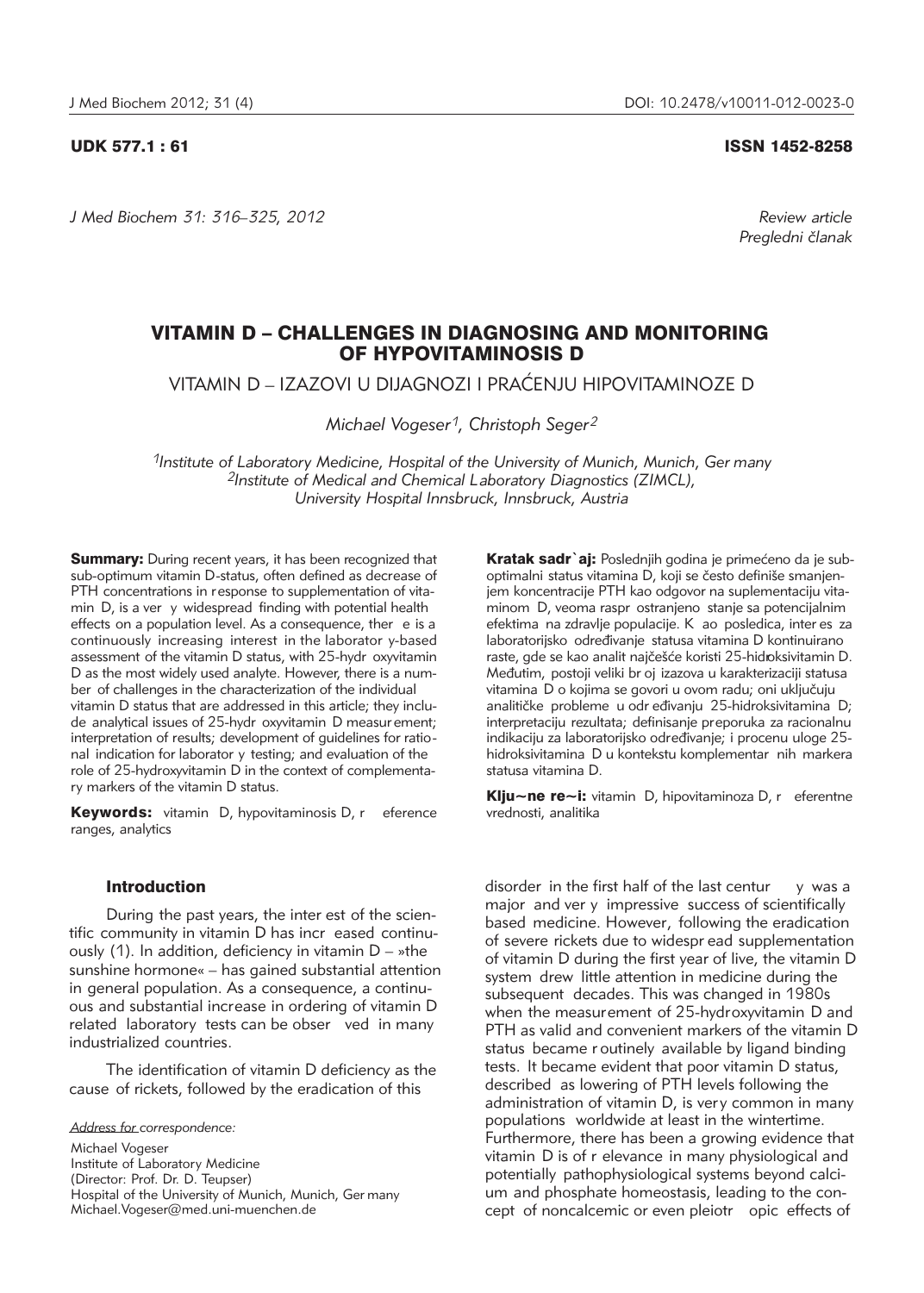*J Med Biochem 31: 316–325, 2012 Review article*

UDK 577.1 : 61 ISSN 1452-8258

*Pregledni ~lanak*

# VITAMIN D – CHALLENGES IN DIAGNOSING AND MONITORING OF HYPOVITAMINOSIS D

VITAMIN D – IZAZOVI U DIJAGNOZI I PRAĆENJU HIPOVITAMINOZE D

*Michael Vogeser1, Christoph Seger2*

*1Institute of Laboratory Medicine, Hospital of the University of Munich, Munich, Ger many 2Institute of Medical and Chemical Laboratory Diagnostics (ZIMCL), University Hospital Innsbruck, Innsbruck, Austria*

**Summary:** During recent years, it has been recognized that sub-optimum vitamin D-status, often defined as decrease of PTH concentrations in response to supplementation of vitamin D, is a ver y widespread finding with potential health effects on a population level. As a consequence, ther e is a continuously increasing interest in the laborator y-based assessment of the vitamin D status, with 25-hydr oxyvitamin D as the most widely used analyte. However, there is a number of challenges in the characterization of the individual vitamin D status that are addressed in this article; they include analytical issues of 25-hydr oxyvitamin D measur ement; interpretation of results; development of guidelines for ratio nal indication for laborator y testing; and evaluation of the role of 25-hydroxyvitamin D in the context of complementary markers of the vitamin D status.

Keywords: vitamin D, hypovitaminosis D, r eference ranges, analytics

#### Introduction

During the past years, the inter est of the scientific community in vitamin D has incr eased continuously (1). In addition, deficiency in vitamin  $D - s$ the sunshine hormone« – has gained substantial attention in general population. As a consequence, a continuous and substantial increase in ordering of vitamin D related laboratory tests can be obser ved in many industrialized countries.

The identification of vitamin D deficiency as the cause of rickets, followed by the eradication of this

*Address for correspondence:*

Michael Vogeser Institute of Laboratory Medicine (Director: Prof. Dr. D. Teupser) Hospital of the University of Munich, Munich, Ger many Michael.Vogeser@med.uni-muenchen.de

Kratak sadr`aj: Poslednjih godina je primećeno da je suboptimalni status vitamina D, koji se često definiše smanjenjem koncentracije PTH kao odgovor na suplementaciju vitaminom D, veoma raspr ostranjeno stanje sa potencijalnim efektima na zdravlje populacije. K ao posledica, inter es za laboratorijsko određivanje statusa vitamina D kontinuirano raste, gde se kao analit najčešće koristi 25-hidroksivitamin D. Međutim, postoji veliki br oj izazova u karakterizaciji statusa vitamina D o kojima se govori u ovom radu; oni uključuju analitičke probleme u odr eđivanju 25-hidroksivitamina D; interpretaciju rezultata; definisanje preporuka za racionalnu indikaciju za laboratorijsko određivanje; i procenu uloge 25hidroksivitamina D u kontekstu komplementar nih markera statusa vitamina D.

Klju~ne re~i: vitamin D, hipovitaminoza D, r eferentne vrednosti, analitika

disorder in the first half of the last centur  $y$  was a major and ver y impressive success of scientifically based medicine. However, following the eradication of severe rickets due to widespr ead supplementation of vitamin D during the first year of live, the vitamin D system drew little attention in medicine during the subsequent decades. This was changed in 1980s when the measurement of 25-hydroxyvitamin D and PTH as valid and convenient markers of the vitamin D status became r outinely available by ligand binding tests. It became evident that poor vitamin D status, described as lowering of PTH levels following the administration of vitamin D, is very common in many populations worldwide at least in the wintertime. Furthermore, there has been a growing evidence that vitamin D is of r elevance in many physiological and potentially pathophysiological systems beyond calcium and phosphate homeostasis, leading to the concept of noncalcemic or even pleiotr opic effects of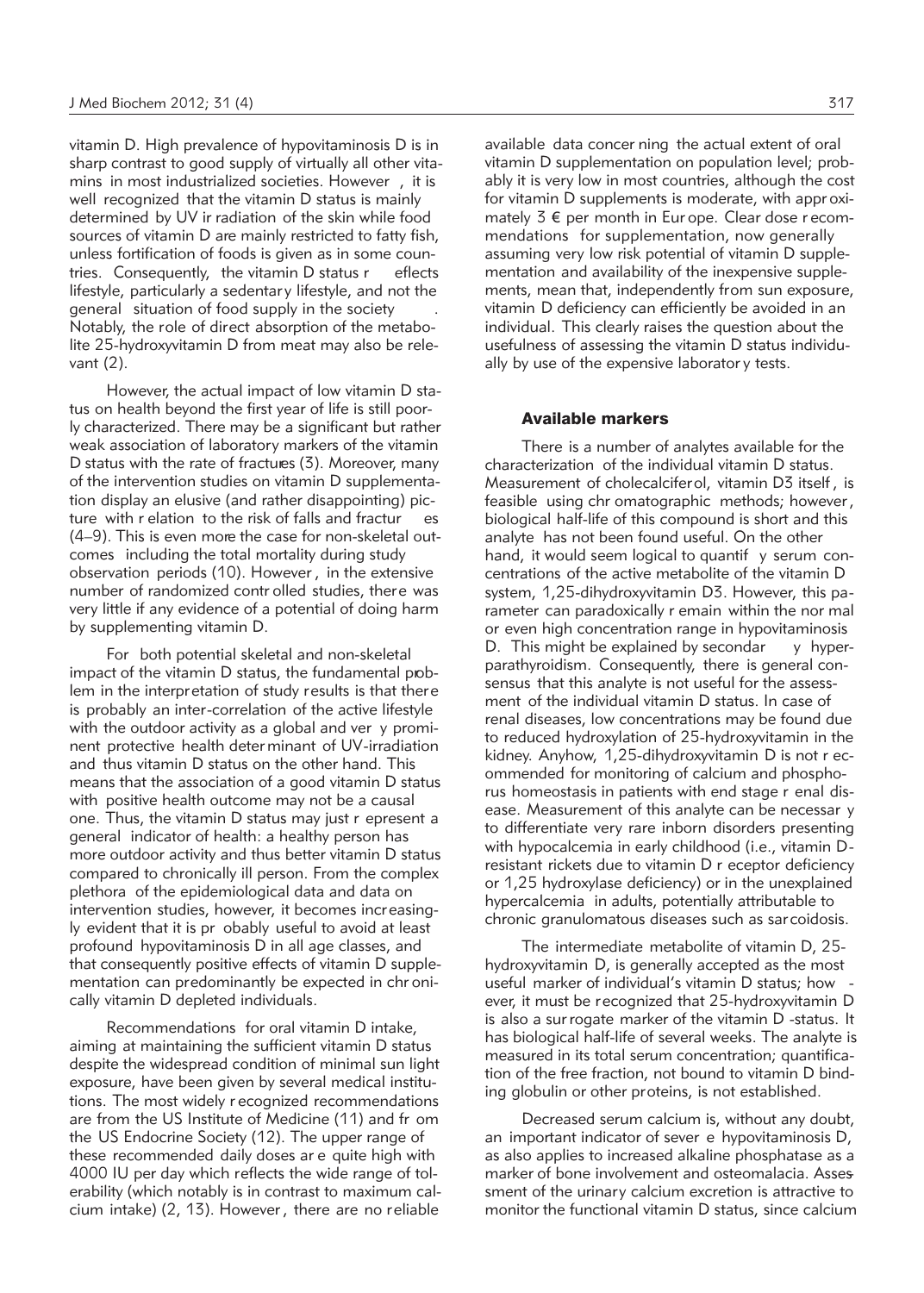vitamin D. High prevalence of hypovitaminosis D is in sharp contrast to good supply of virtually all other vitamins in most industrialized societies. However , it is well recognized that the vitamin D status is mainly determined by UV ir radiation of the skin while food sources of vitamin D are mainly restricted to fatty fish, unless fortification of foods is given as in some countries. Consequently, the vitamin D status r eflects lifestyle, particularly a sedentary lifestyle, and not the general situation of food supply in the society . Notably, the role of direct absorption of the metabolite 25-hydroxyvitamin D from meat may also be relevant (2).

However, the actual impact of low vitamin D status on health beyond the first year of life is still poorly characterized. There may be a significant but rather weak association of laboratory markers of the vitamin D status with the rate of fractures (3). Moreover, many of the intervention studies on vitamin D supplementation display an elusive (and rather disappointing) picture with r elation to the risk of falls and fractur es (4–9). This is even more the case for non-skeletal outcomes including the total mortality during study observation periods (10). However , in the extensive number of randomized contr olled studies, there was very little if any evidence of a potential of doing harm by supplementing vitamin D.

For both potential skeletal and non-skeletal impact of the vitamin D status, the fundamental problem in the interpretation of study results is that there is probably an inter-correlation of the active lifestyle with the outdoor activity as a global and ver y prominent protective health deter minant of UV-irradiation and thus vitamin D status on the other hand. This means that the association of a good vitamin D status with positive health outcome may not be a causal one. Thus, the vitamin D status may just r epresent a general indicator of health: a healthy person has more outdoor activity and thus better vitamin D status compared to chronically ill person. From the complex plethora of the epidemiological data and data on intervention studies, however, it becomes increasingly evident that it is pr obably useful to avoid at least profound hypovitaminosis D in all age classes, and that consequently positive effects of vitamin D supplementation can predominantly be expected in chr onically vitamin D depleted individuals.

Recommendations for oral vitamin D intake, aiming at maintaining the sufficient vitamin D status despite the widespread condition of minimal sun light exposure, have been given by several medical institutions. The most widely r ecognized recommendations are from the US Institute of Medicine (11) and fr om the US Endocrine Society (12). The upper range of these recommended daily doses ar e quite high with 4000 IU per day which reflects the wide range of tolerability (which notably is in contrast to maximum calcium intake) (2, 13). However , there are no reliable

available data concer ning the actual extent of oral vitamin D supplementation on population level; probably it is very low in most countries, although the cost for vitamin D supplements is moderate, with appr oximately  $3 \notin$  per month in Europe. Clear dose recommendations for supplementation, now generally assuming very low risk potential of vitamin D supplementation and availability of the inexpensive supplements, mean that, independently from sun exposure, vitamin D deficiency can efficiently be avoided in an individual. This clearly raises the question about the usefulness of assessing the vitamin D status individually by use of the expensive laborator y tests.

## Available markers

There is a number of analytes available for the characterization of the individual vitamin D status. Measurement of cholecalciferol, vitamin D3 itself , is feasible using chr omatographic methods; however , biological half-life of this compound is short and this analyte has not been found useful. On the other hand, it would seem logical to quantif y serum concentrations of the active metabolite of the vitamin D system, 1,25-dihydroxyvitamin D3. However, this pa rameter can paradoxically r emain within the nor mal or even high concentration range in hypovitaminosis D. This might be explained by secondar  $\overline{y}$  hyperparathyroidism. Consequently, there is general consensus that this analyte is not useful for the assessment of the individual vitamin D status. In case of renal diseases, low concentrations may be found due to reduced hydroxylation of 25-hydroxyvitamin in the kidney. Anyhow, 1,25-dihydroxyvitamin D is not r ecommended for monitoring of calcium and phosphorus homeostasis in patients with end stage r enal disease. Measurement of this analyte can be necessar y to differentiate very rare inborn disorders presenting with hypocalcemia in early childhood (i.e., vitamin Dresistant rickets due to vitamin D r eceptor deficiency or 1,25 hydroxylase deficiency) or in the unexplained hypercalcemia in adults, potentially attributable to chronic granulomatous diseases such as sarcoidosis.

The intermediate metabolite of vitamin D, 25 hydroxyvitamin D, is generally accepted as the most useful marker of individual's vitamin D status; how ever, it must be recognized that 25-hydroxyvitamin D is also a sur rogate marker of the vitamin D -status. It has biological half-life of several weeks. The analyte is measured in its total serum concentration; quantification of the free fraction, not bound to vitamin D binding globulin or other proteins, is not established.

Decreased serum calcium is, without any doubt, an important indicator of sever e hypovitaminosis D, as also applies to increased alkaline phosphatase as a marker of bone involvement and osteomalacia. Asses sment of the urinary calcium excretion is attractive to monitor the functional vitamin D status, since calcium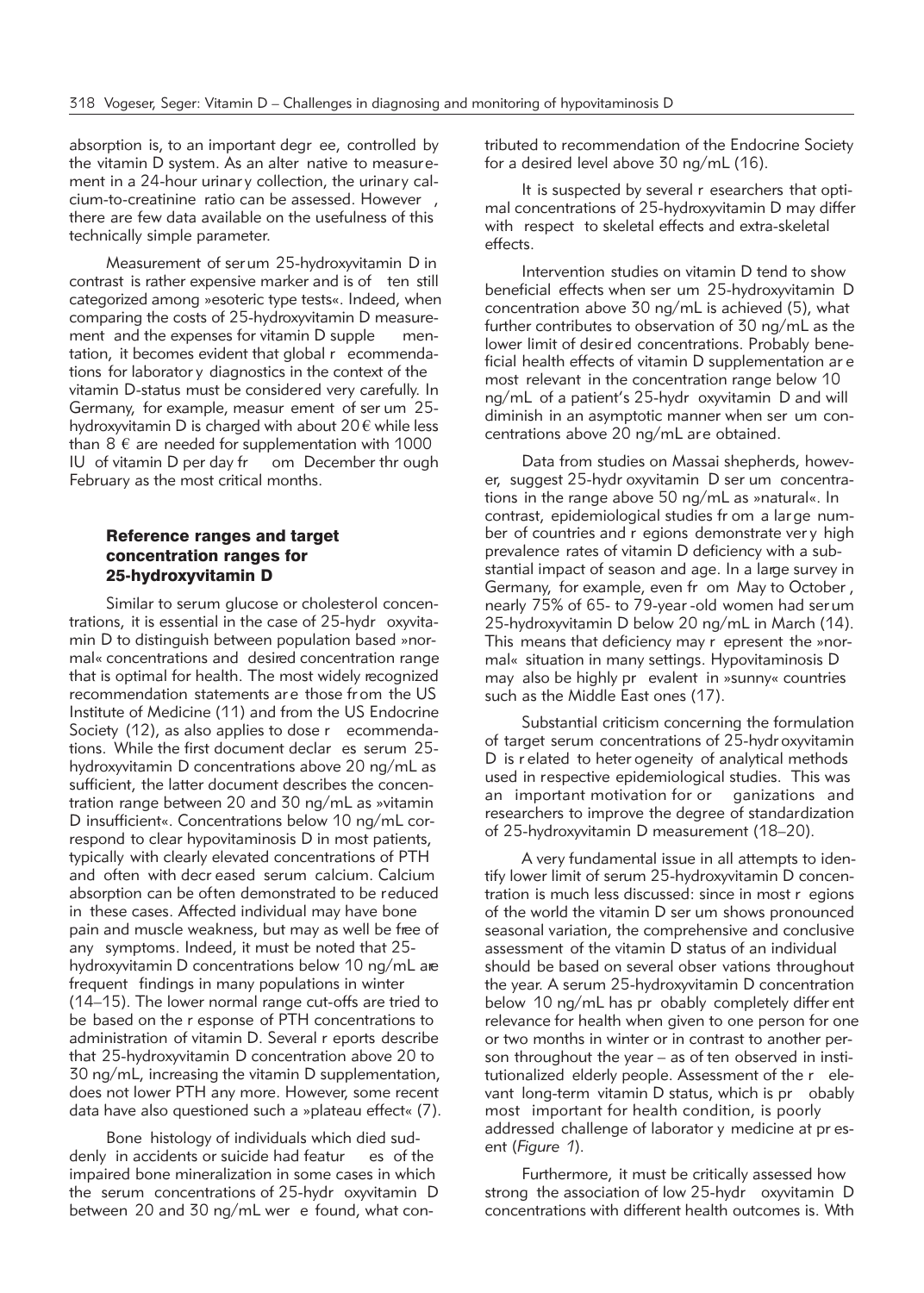absorption is, to an important degr ee, controlled by the vitamin D system. As an alter native to measurement in a 24-hour urinar y collection, the urinary calcium-to-creatinine ratio can be assessed. However , there are few data available on the usefulness of this technically simple parameter.

Measurement of serum 25-hydroxyvitamin D in contrast is rather expensive marker and is of ten still categorized among »esoteric type tests«. Indeed, when comparing the costs of 25-hydroxyvitamin D measurement and the expenses for vitamin D supple mentation, it becomes evident that global r ecommendations for laborator y diagnostics in the context of the vitamin D-status must be considered very carefully. In Germany, for example, measur ement of ser um 25 hydroxyvitamin D is charged with about  $20 \text{ } \epsilon$  while less than  $8 \notin$  are needed for supplementation with 1000 IU of vitamin D per day fr om December thr ough February as the most critical months.

## Reference ranges and target concentration ranges for 25-hydroxyvitamin D

Similar to serum glucose or cholesterol concentrations, it is essential in the case of 25-hydr oxyvitamin D to distinguish between population based »normal« concentrations and desired concentration range that is optimal for health. The most widely recognized recommendation statements are those from the US Institute of Medicine (11) and from the US Endocrine Society (12), as also applies to dose r ecommendations. While the first document declar es serum 25 hydroxyvitamin D concentrations above 20 ng/mL as sufficient, the latter document describes the concentration range between 20 and 30 ng/mL as »vitamin D insufficient«. Concentrations below 10 ng/mL correspond to clear hypovitaminosis D in most patients, typically with clearly elevated concentrations of PTH and often with decr eased serum calcium. Calcium absorption can be often demonstrated to be reduced in these cases. Affected individual may have bone pain and muscle weakness, but may as well be free of any symptoms. Indeed, it must be noted that 25 hydroxyvitamin D concentrations below 10 ng/mL are frequent findings in many populations in winter (14–15). The lower normal range cut-offs are tried to be based on the r esponse of PTH concentrations to administration of vitamin D. Several r eports describe that 25-hydroxyvitamin D concentration above 20 to 30 ng/mL, increasing the vitamin D supplementation, does not lower PTH any more. However, some recent data have also questioned such a »plateau effect« (7).

Bone histology of individuals which died suddenly in accidents or suicide had featur es of the impaired bone mineralization in some cases in which the serum concentrations of 25-hydr oxyvitamin D between 20 and 30 ng/mL wer e found, what contributed to recommendation of the Endocrine Society for a desired level above 30 ng/mL (16).

It is suspected by several r esearchers that optimal concentrations of 25-hydroxyvitamin D may differ with respect to skeletal effects and extra-skeletal effects.

Intervention studies on vitamin D tend to show beneficial effects when ser um 25-hydroxyvitamin D concentration above 30 ng/mL is achieved (5), what further contributes to observation of 30 ng/mL as the lower limit of desired concentrations. Probably beneficial health effects of vitamin D supplementation ar e most relevant in the concentration range below 10 ng/mL of a patient's 25-hydr oxyvitamin D and will diminish in an asymptotic manner when ser um concentrations above 20 ng/mL are obtained.

Data from studies on Massai shepherds, however, suggest 25-hydr oxyvitamin D ser um concentrations in the range above 50 ng/mL as »natural«. In contrast, epidemiological studies fr om a lar ge number of countries and r egions demonstrate ver y high prevalence rates of vitamin D deficiency with a substantial impact of season and age. In a large survey in Germany, for example, even fr om May to October , nearly 75% of 65- to 79-year -old women had ser um 25-hydroxyvitamin D below 20 ng/mL in March (14). This means that deficiency may r epresent the »normal« situation in many settings. Hypovitaminosis D may also be highly pr evalent in »sunny« countries such as the Middle East ones (17).

Substantial criticism concerning the formulation of target serum concentrations of 25-hydr oxyvitamin D is r elated to heter ogeneity of analytical methods used in respective epidemiological studies. This was an important motivation for or ganizations and researchers to improve the degree of standardization of 25-hydroxyvitamin D measurement (18–20).

A very fundamental issue in all attempts to identify lower limit of serum 25-hydroxyvitamin D concentration is much less discussed: since in most r egions of the world the vitamin D ser um shows pronounced seasonal variation, the comprehensive and conclusive assessment of the vitamin D status of an individual should be based on several obser vations throughout the year. A serum 25-hydroxyvitamin D concentration below 10 ng/mL has pr obably completely differ ent relevance for health when given to one person for one or two months in winter or in contrast to another person throughout the year – as of ten observed in institutionalized elderly people. Assessment of the r elevant long-term vitamin D status, which is pr obably most important for health condition, is poorly addressed challenge of laborator y medicine at pr esent (*Figure 1*).

Furthermore, it must be critically assessed how strong the association of low 25-hydr oxyvitamin D concentrations with different health outcomes is. With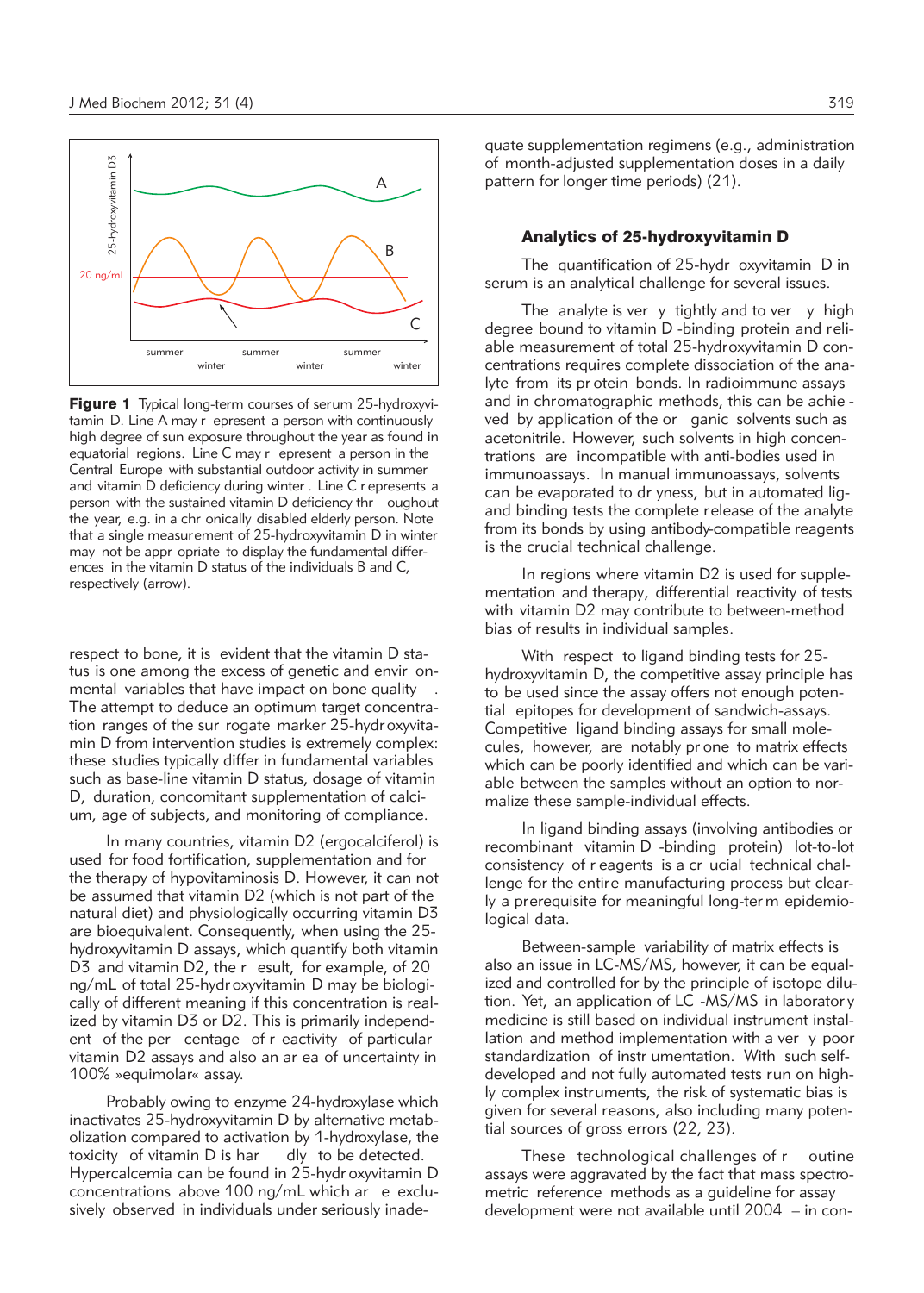

Figure 1 Typical long-term courses of serum 25-hydroxyvitamin D. Line A may r epresent a person with continuously high degree of sun exposure throughout the year as found in equatorial regions. Line C may r epresent a person in the Central Europe with substantial outdoor activity in summer and vitamin D deficiency during winter . Line C r epresents a person with the sustained vitamin D deficiency thr oughout the year, e.g. in a chr onically disabled elderly person. Note that a single measurement of 25-hydroxyvitamin D in winter may not be appr opriate to display the fundamental differences in the vitamin D status of the individuals B and C, respectively (arrow).

respect to bone, it is evident that the vitamin D status is one among the excess of genetic and envir onmental variables that have impact on bone quality . The attempt to deduce an optimum target concentration ranges of the sur rogate marker 25-hydr oxyvitamin D from intervention studies is extremely complex: these studies typically differ in fundamental variables such as base-line vitamin D status, dosage of vitamin D, duration, concomitant supplementation of calcium, age of subjects, and monitoring of compliance.

In many countries, vitamin D2 (ergocalciferol) is used for food fortification, supplementation and for the therapy of hypovitaminosis D. However, it can not be assumed that vitamin D2 (which is not part of the natural diet) and physiologically occurring vitamin D3 are bioequivalent. Consequently, when using the 25 hydroxyvitamin D assays, which quantify both vitamin D3 and vitamin D2, the r esult, for example, of 20 ng/mL of total 25-hydr oxyvitamin D may be biologically of different meaning if this concentration is realized by vitamin D3 or D2. This is primarily independent of the per centage of r eactivity of particular vitamin D2 assays and also an ar ea of uncertainty in 100% »equimolar« assay.

Probably owing to enzyme 24-hydroxylase which inactivates 25-hydroxyvitamin D by alternative metabolization compared to activation by 1-hydroxylase, the toxicity of vitamin D is har dly to be detected. Hypercalcemia can be found in 25-hydr oxyvitamin D concentrations above 100 ng/mL which ar e exclusively observed in individuals under seriously inadequate supplementation regimens (e.g., administration of month-adjusted supplementation doses in a daily pattern for longer time periods) (21).

## Analytics of 25-hydroxyvitamin D

The quantification of 25-hydr oxyvitamin D in serum is an analytical challenge for several issues.

The analyte is ver y tightly and to ver y high degree bound to vitamin D -binding protein and reliable measurement of total 25-hydroxyvitamin D concentrations requires complete dissociation of the analyte from its pr otein bonds. In radioimmune assays and in chromatographic methods, this can be achie ved by application of the or ganic solvents such as acetonitrile. However, such solvents in high concentrations are incompatible with anti-bodies used in immunoassays. In manual immunoassays, solvents can be evaporated to dr yness, but in automated ligand binding tests the complete release of the analyte from its bonds by using antibody-compatible reagents is the crucial technical challenge.

In regions where vitamin D2 is used for supplementation and therapy, differential reactivity of tests with vitamin D2 may contribute to between-method bias of results in individual samples.

With respect to ligand binding tests for 25 hydroxyvitamin D, the competitive assay principle has to be used since the assay offers not enough potential epitopes for development of sandwich-assays. Competitive ligand binding assays for small molecules, however, are notably pr one to matrix effects which can be poorly identified and which can be variable between the samples without an option to normalize these sample-individual effects.

In ligand binding assays (involving antibodies or recombinant vitamin D -binding protein) lot-to-lot consistency of r eagents is a cr ucial technical challenge for the entire manufacturing process but clearly a prerequisite for meaningful long-ter m epidemiological data.

Between-sample variability of matrix effects is also an issue in LC-MS/MS, however, it can be equalized and controlled for by the principle of isotope dilution. Yet, an application of LC -MS/MS in laborator y medicine is still based on individual instrument installation and method implementation with a ver y poor standardization of instr umentation. With such selfdeveloped and not fully automated tests run on highly complex instruments, the risk of systematic bias is given for several reasons, also including many potential sources of gross errors (22, 23).

These technological challenges of r outine assays were aggravated by the fact that mass spectrometric reference methods as a guideline for assay development were not available until 2004 – in con-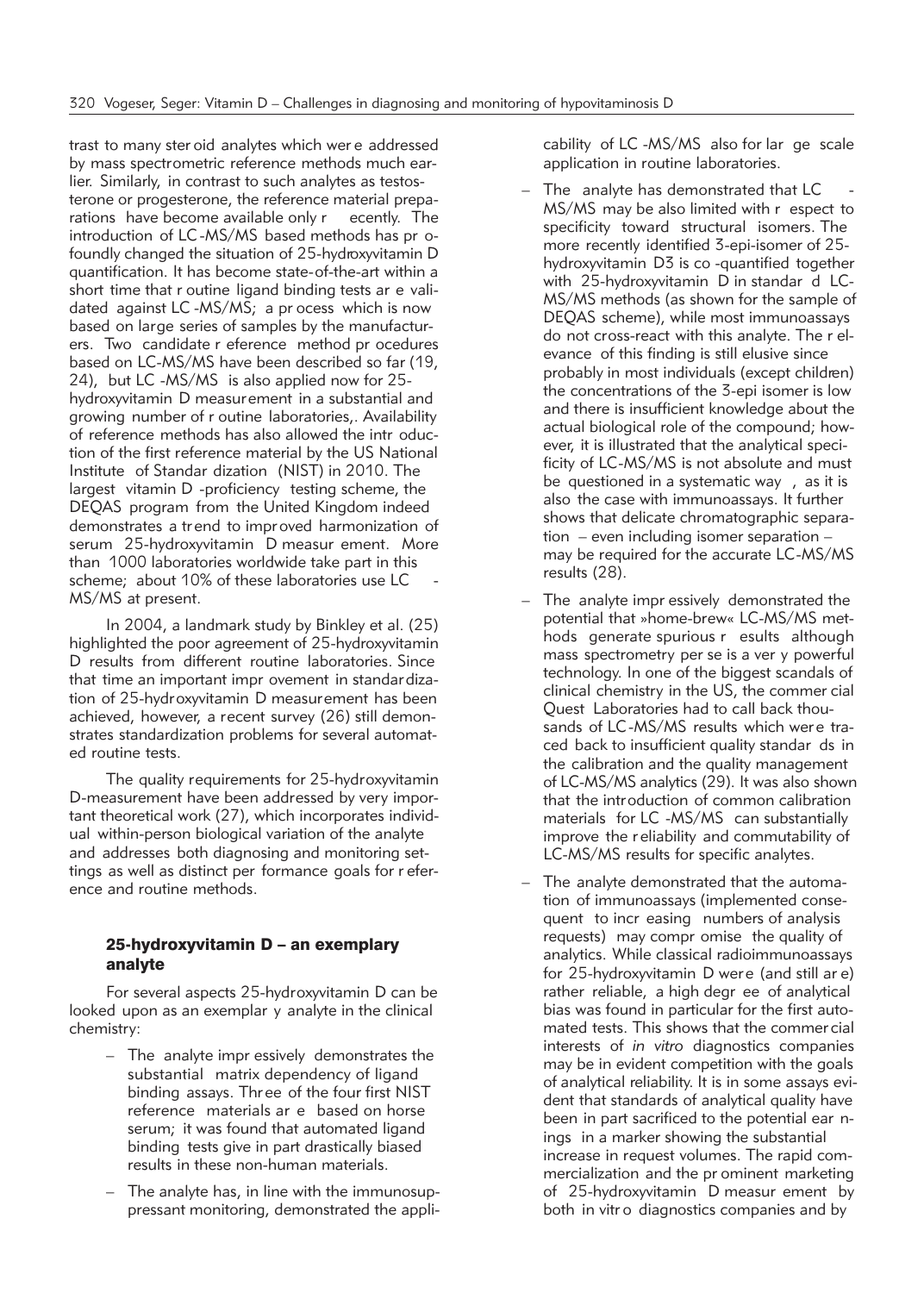trast to many ster oid analytes which wer e addressed by mass spectrometric reference methods much earlier. Similarly, in contrast to such analytes as testosterone or progesterone, the reference material preparations have become available only r ecently. The introduction of LC -MS/MS based methods has pr ofoundly changed the situation of 25-hydroxyvitamin D quantification. It has become state-of-the-art within a short time that r outine ligand binding tests ar e validated against LC -MS/MS; a pr ocess which is now based on large series of samples by the manufacturers. Two candidate r eference method pr ocedures based on LC-MS/MS have been described so far (19, 24), but LC -MS/MS is also applied now for 25 hydroxyvitamin D measurement in a substantial and growing number of r outine laboratories,. Availability of reference methods has also allowed the intr oduction of the first reference material by the US National Institute of Standar dization (NIST) in 2010. The largest vitamin D -proficiency testing scheme, the DEQAS program from the United Kingdom indeed demonstrates a tr end to impr oved harmonization of serum 25-hydroxyvitamin D measur ement. More than 1000 laboratories worldwide take part in this scheme; about 10% of these laboratories use LC MS/MS at present.

In 2004, a landmark study by Binkley et al. (25) highlighted the poor agreement of 25-hydroxyvitamin D results from different routine laboratories. Since that time an important impr ovement in standardization of 25-hydroxyvitamin D measurement has been achieved, however, a recent survey (26) still demonstrates standardization problems for several automated routine tests.

The quality requirements for 25-hydroxyvitamin D-measurement have been addressed by very important theoretical work (27), which incorporates individual within-person biological variation of the analyte and addresses both diagnosing and monitoring settings as well as distinct per formance goals for r eference and routine methods.

## 25-hydroxyvitamin D – an exemplary analyte

For several aspects 25-hydroxyvitamin D can be looked upon as an exemplar y analyte in the clinical chemistry:

- The analyte impr essively demonstrates the substantial matrix dependency of ligand binding assays. Thr ee of the four first NIST reference materials ar e based on horse serum; it was found that automated ligand binding tests give in part drastically biased results in these non-human materials.
- The analyte has, in line with the immunosuppressant monitoring, demonstrated the appli-

cability of LC -MS/MS also for lar ge scale application in routine laboratories.

- The analyte has demonstrated that LC MS/MS may be also limited with r espect to specificity toward structural isomers. The more recently identified 3-epi-isomer of 25 hydroxyvitamin D3 is co -quantified together with 25-hydroxyvitamin D in standar d LC-MS/MS methods (as shown for the sample of DEQAS scheme), while most immunoassays do not cross-react with this analyte. The r elevance of this finding is still elusive since probably in most individuals (except children) the concentrations of the 3-epi isomer is low and there is insufficient knowledge about the actual biological role of the compound; however, it is illustrated that the analytical specificity of LC-MS/MS is not absolute and must be questioned in a systematic way , as it is also the case with immunoassays. It further shows that delicate chromatographic separation – even including isomer separation – may be required for the accurate LC-MS/MS results (28).
- The analyte impr essively demonstrated the potential that »home-brew« LC-MS/MS methods generate spurious r esults although mass spectrometry per se is a ver y powerful technology. In one of the biggest scandals of clinical chemistry in the US, the commer cial Quest Laboratories had to call back thousands of LC-MS/MS results which were traced back to insufficient quality standar ds in the calibration and the quality management of LC-MS/MS analytics (29). It was also shown that the introduction of common calibration materials for LC -MS/MS can substantially improve the r eliability and commutability of LC-MS/MS results for specific analytes.
- The analyte demonstrated that the automation of immunoassays (implemented consequent to incr easing numbers of analysis requests) may compr omise the quality of analytics. While classical radioimmunoassays for 25-hydroxyvitamin D were (and still ar e) rather reliable, a high degr ee of analytical bias was found in particular for the first automated tests. This shows that the commer cial interests of *in vitro* diagnostics companies may be in evident competition with the goals of analytical reliability. It is in some assays evident that standards of analytical quality have been in part sacrificed to the potential ear nings in a marker showing the substantial increase in request volumes. The rapid commercialization and the pr ominent marketing of 25-hydroxyvitamin D measur ement by both in vitr o diagnostics companies and by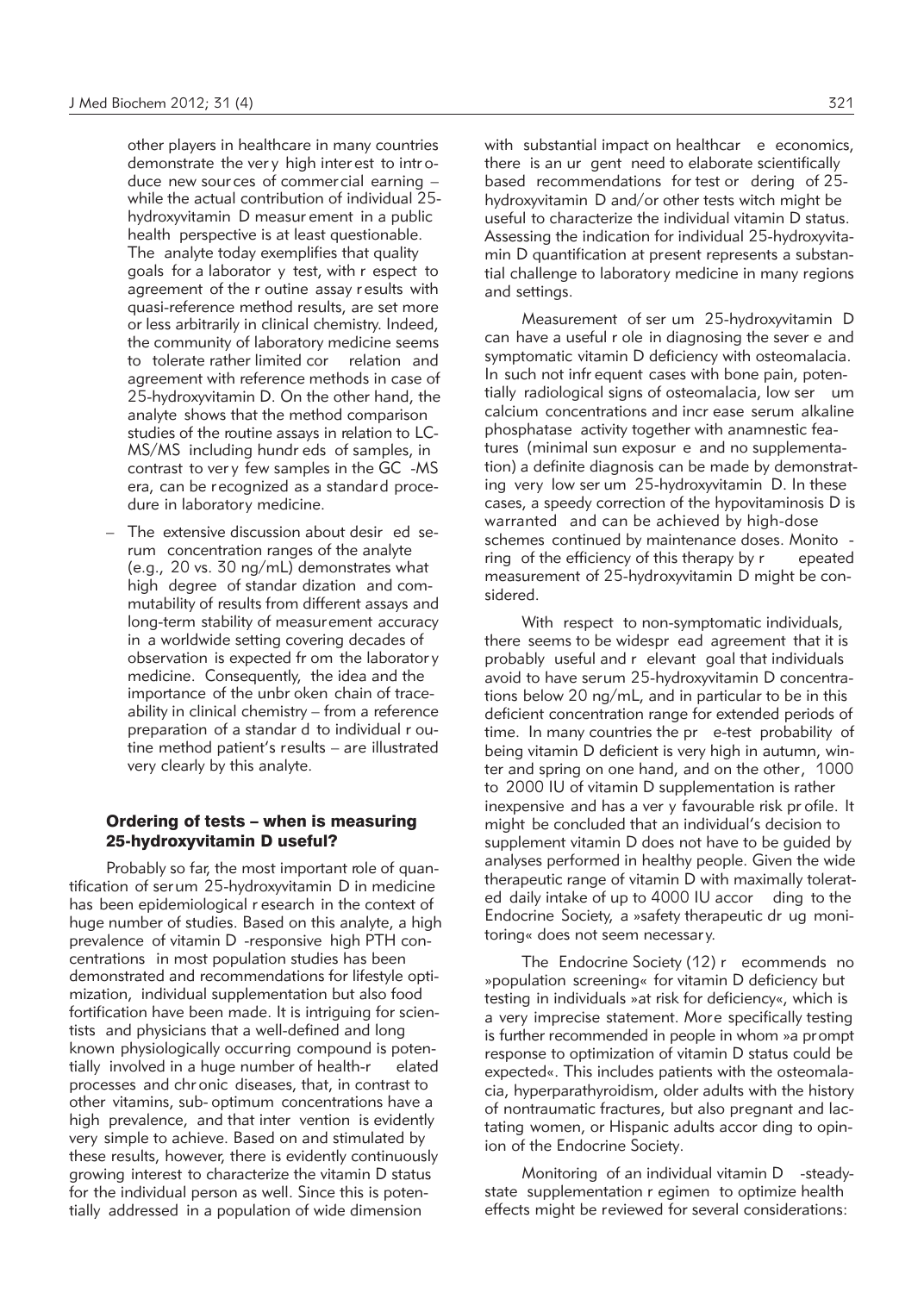other players in healthcare in many countries demonstrate the ver y high inter est to intr oduce new sour ces of commer cial earning – while the actual contribution of individual 25 hydroxyvitamin D measur ement in a public health perspective is at least questionable. The analyte today exemplifies that quality goals for a laborator y test, with r espect to agreement of the r outine assay r esults with quasi-reference method results, are set more or less arbitrarily in clinical chemistry. Indeed, the community of laboratory medicine seems to tolerate rather limited cor relation and agreement with reference methods in case of 25-hydroxyvitamin D. On the other hand, the analyte shows that the method comparison studies of the routine assays in relation to LC-MS/MS including hundr eds of samples, in contrast to ver y few samples in the GC -MS era, can be recognized as a standard procedure in laboratory medicine.

- The extensive discussion about desir ed serum concentration ranges of the analyte (e.g., 20 vs. 30 ng/mL) demonstrates what high degree of standar dization and commutability of results from different assays and long-term stability of measurement accuracy in a worldwide setting covering decades of observation is expected fr om the laborator y medicine. Consequently, the idea and the importance of the unbr oken chain of traceability in clinical chemistry – from a reference preparation of a standar d to individual r outine method patient's results – are illustrated very clearly by this analyte.

## Ordering of tests – when is measuring 25-hydroxyvitamin D useful?

Probably so far, the most important role of quantification of serum 25-hydroxyvitamin D in medicine has been epidemiological r esearch in the context of huge number of studies. Based on this analyte, a high prevalence of vitamin D -responsive high PTH concentrations in most population studies has been demonstrated and recommendations for lifestyle optimization, individual supplementation but also food fortification have been made. It is intriguing for scientists and physicians that a well-defined and long known physiologically occurring compound is potentially involved in a huge number of health-r elated processes and chr onic diseases, that, in contrast to other vitamins, sub- optimum concentrations have a high prevalence, and that inter vention is evidently very simple to achieve. Based on and stimulated by these results, however, there is evidently continuously growing interest to characterize the vitamin D status for the individual person as well. Since this is potentially addressed in a population of wide dimension

with substantial impact on healthcar e economics, there is an ur gent need to elaborate scientifically based recommendations for test or dering of 25 hydroxyvitamin D and/or other tests witch might be useful to characterize the individual vitamin D status. Assessing the indication for individual 25-hydroxyvitamin D quantification at present represents a substantial challenge to laboratory medicine in many regions and settings.

Measurement of ser um 25-hydroxyvitamin D can have a useful r ole in diagnosing the sever e and symptomatic vitamin D deficiency with osteomalacia. In such not infr equent cases with bone pain, potentially radiological signs of osteomalacia, low ser um calcium concentrations and incr ease serum alkaline phosphatase activity together with anamnestic features (minimal sun exposur e and no supplementation) a definite diagnosis can be made by demonstrating very low ser um 25-hydroxyvitamin D. In these cases, a speedy correction of the hypovitaminosis D is warranted and can be achieved by high-dose schemes continued by maintenance doses. Monito ring of the efficiency of this therapy by r epeated measurement of 25-hydroxyvitamin D might be considered.

With respect to non-symptomatic individuals, there seems to be widespr ead agreement that it is probably useful and r elevant goal that individuals avoid to have serum 25-hydroxyvitamin D concentrations below 20 ng/mL, and in particular to be in this deficient concentration range for extended periods of time. In many countries the pr e-test probability of being vitamin D deficient is very high in autumn, winter and spring on one hand, and on the other, 1000 to 2000 IU of vitamin D supplementation is rather inexpensive and has a ver y favourable risk pr ofile. It might be concluded that an individual's decision to supplement vitamin D does not have to be guided by analyses performed in healthy people. Given the wide therapeutic range of vitamin D with maximally tolerated daily intake of up to 4000 IU accor ding to the Endocrine Society, a »safety therapeutic dr ug monitoring« does not seem necessar y.

The Endocrine Society (12) r ecommends no »population screening« for vitamin D deficiency but testing in individuals »at risk for deficiency«, which is a very imprecise statement. More specifically testing is further recommended in people in whom »a prompt response to optimization of vitamin D status could be expected«. This includes patients with the osteomalacia, hyperparathyroidism, older adults with the history of nontraumatic fractures, but also pregnant and lactating women, or Hispanic adults accor ding to opinion of the Endocrine Society.

Monitoring of an individual vitamin D -steadystate supplementation r egimen to optimize health effects might be reviewed for several considerations: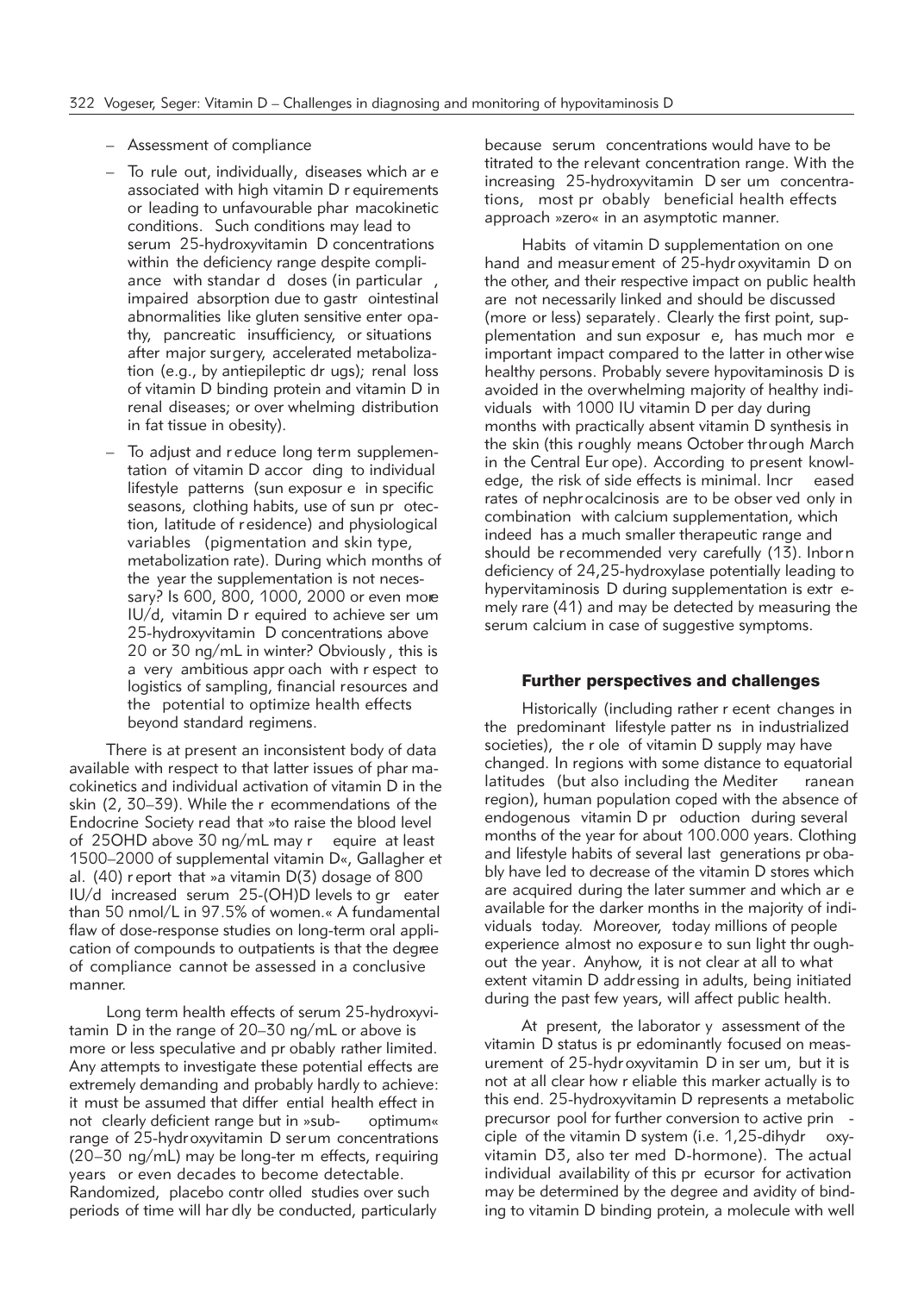- Assessment of compliance
- To rule out, individually, diseases which ar e associated with high vitamin D r equirements or leading to unfavourable phar macokinetic conditions. Such conditions may lead to serum 25-hydroxyvitamin D concentrations within the deficiency range despite compliance with standar d doses (in particular , impaired absorption due to gastr ointestinal abnormalities like gluten sensitive enter opathy, pancreatic insufficiency, or situations after major surgery, accelerated metabolization (e.g., by antiepileptic dr ugs); renal loss of vitamin D binding protein and vitamin D in renal diseases; or over whelming distribution in fat tissue in obesity).
- To adjust and r educe long term supplementation of vitamin D accor ding to individual lifestyle patterns (sun exposur e in specific seasons, clothing habits, use of sun pr otection, latitude of r esidence) and physiological variables (pigmentation and skin type, metabolization rate). During which months of the year the supplementation is not necessary? Is 600, 800, 1000, 2000 or even more IU/d, vitamin D r equired to achieve ser um 25-hydroxyvitamin D concentrations above 20 or 30 ng/mL in winter? Obviously , this is a very ambitious appr oach with r espect to logistics of sampling, financial resources and the potential to optimize health effects beyond standard regimens.

There is at present an inconsistent body of data available with respect to that latter issues of phar macokinetics and individual activation of vitamin D in the skin (2, 30–39). While the r ecommendations of the Endocrine Society read that »to raise the blood level of 25OHD above 30 ng/mL may r equire at least 1500–2000 of supplemental vitamin D«, Gallagher et al. (40) r eport that »a vitamin D(3) dosage of 800 IU/d increased serum 25-(OH)D levels to gr eater than 50 nmol/L in 97.5% of women.« A fundamental flaw of dose-response studies on long-term oral application of compounds to outpatients is that the degree of compliance cannot be assessed in a conclusive manner.

Long term health effects of serum 25-hydroxyvitamin D in the range of 20–30 ng/mL or above is more or less speculative and pr obably rather limited. Any attempts to investigate these potential effects are extremely demanding and probably hardly to achieve: it must be assumed that differ ential health effect in not clearly deficient range but in »sub- optimum« range of 25-hydroxyvitamin D serum concentrations (20–30 ng/mL) may be long-ter m effects, requiring years or even decades to become detectable. Randomized, placebo contr olled studies over such periods of time will har dly be conducted, particularly

because serum concentrations would have to be titrated to the relevant concentration range. With the increasing 25-hydroxyvitamin D ser um concentrations, most pr obably beneficial health effects approach »zero« in an asymptotic manner.

Habits of vitamin D supplementation on one hand and measur ement of 25-hydr oxyvitamin D on the other, and their respective impact on public health are not necessarily linked and should be discussed (more or less) separately. Clearly the first point, supplementation and sun exposur e, has much mor e important impact compared to the latter in other wise healthy persons. Probably severe hypovitaminosis D is avoided in the overwhelming majority of healthy individuals with 1000 IU vitamin D per day during months with practically absent vitamin D synthesis in the skin (this roughly means October through March in the Central Eur ope). According to present knowledge, the risk of side effects is minimal. Incr eased rates of nephrocalcinosis are to be obser ved only in combination with calcium supplementation, which indeed has a much smaller therapeutic range and should be recommended very carefully (13). Inborn deficiency of 24,25-hydroxylase potentially leading to hypervitaminosis D during supplementation is extr emely rare (41) and may be detected by measuring the serum calcium in case of suggestive symptoms.

### Further perspectives and challenges

Historically (including rather r ecent changes in the predominant lifestyle patter ns in industrialized societies), the r ole of vitamin D supply may have changed. In regions with some distance to equatorial latitudes (but also including the Mediter ranean region), human population coped with the absence of endogenous vitamin D pr oduction during several months of the year for about 100.000 years. Clothing and lifestyle habits of several last generations pr obably have led to decrease of the vitamin D stores which are acquired during the later summer and which ar e available for the darker months in the majority of individuals today. Moreover, today millions of people experience almost no exposur e to sun light thr oughout the year. Anyhow, it is not clear at all to what extent vitamin D addressing in adults, being initiated during the past few years, will affect public health.

At present, the laborator y assessment of the vitamin D status is pr edominantly focused on measurement of 25-hydr oxyvitamin D in ser um, but it is not at all clear how r eliable this marker actually is to this end. 25-hydroxyvitamin D represents a metabolic precursor pool for further conversion to active prin ciple of the vitamin D system (i.e.  $1,25$ -dihydr oxyvitamin D3, also ter med D-hormone). The actual individual availability of this pr ecursor for activation may be determined by the degree and avidity of binding to vitamin D binding protein, a molecule with well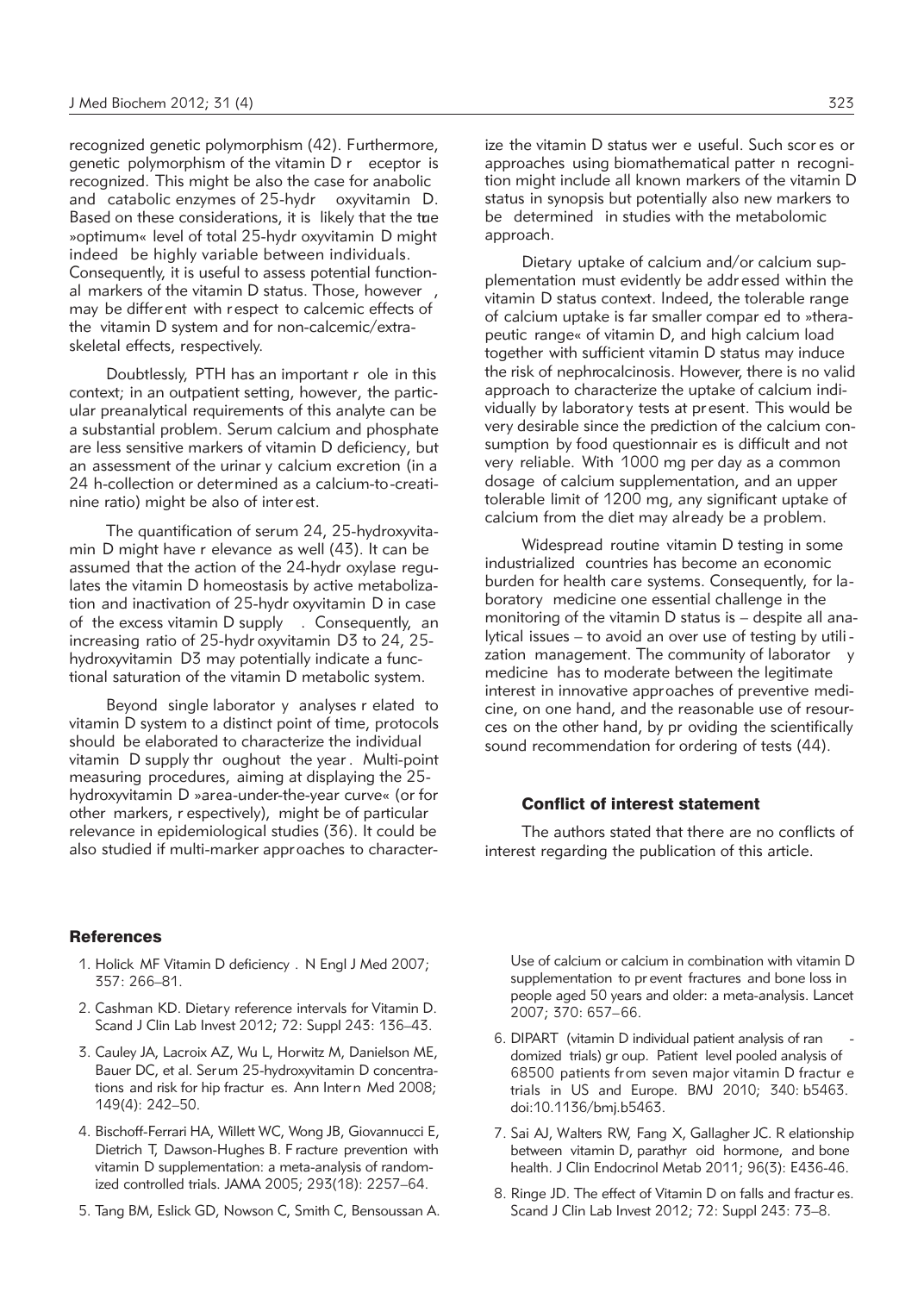recognized genetic polymorphism (42). Furthermore, genetic polymorphism of the vitamin D r eceptor is recognized. This might be also the case for anabolic and catabolic enzymes of 25-hydr oxyvitamin D. Based on these considerations, it is likely that the tue »optimum« level of total 25-hydr oxyvitamin D might indeed be highly variable between individuals. Consequently, it is useful to assess potential functional markers of the vitamin D status. Those, however , may be differ ent with r espect to calcemic effects of the vitamin D system and for non-calcemic/extraskeletal effects, respectively.

Doubtlessly, PTH has an important r ole in this context; in an outpatient setting, however, the particular preanalytical requirements of this analyte can be a substantial problem. Serum calcium and phosphate are less sensitive markers of vitamin D deficiency, but an assessment of the urinar y calcium excretion (in a 24 h-collection or determined as a calcium-to-creatinine ratio) might be also of inter est.

The quantification of serum 24, 25-hydroxyvitamin D might have r elevance as well (43). It can be assumed that the action of the 24-hydr oxylase regulates the vitamin D homeostasis by active metabolization and inactivation of 25-hydr oxyvitamin D in case of the excess vitamin D supply . Consequently, an increasing ratio of 25-hydr oxyvitamin D3 to 24, 25 hydroxyvitamin D3 may potentially indicate a functional saturation of the vitamin D metabolic system.

Beyond single laborator y analyses r elated to vitamin D system to a distinct point of time, protocols should be elaborated to characterize the individual vitamin D supply thr oughout the year . Multi-point measuring procedures, aiming at displaying the 25 hydroxyvitamin D »area-under-the-year curve« (or for other markers, r espectively), might be of particular relevance in epidemiological studies (36). It could be also studied if multi-marker approaches to characterize the vitamin D status wer e useful. Such scor es or approaches using biomathematical patter n recognition might include all known markers of the vitamin D status in synopsis but potentially also new markers to be determined in studies with the metabolomic approach.

Dietary uptake of calcium and/or calcium supplementation must evidently be addr essed within the vitamin D status context. Indeed, the tolerable range of calcium uptake is far smaller compar ed to »therapeutic range« of vitamin D, and high calcium load together with sufficient vitamin D status may induce the risk of nephrocalcinosis. However, there is no valid approach to characterize the uptake of calcium individually by laboratory tests at pr esent. This would be very desirable since the prediction of the calcium consumption by food questionnair es is difficult and not very reliable. With 1000 mg per day as a common dosage of calcium supplementation, and an upper tolerable limit of 1200 mg, any significant uptake of calcium from the diet may already be a problem.

Widespread routine vitamin D testing in some industrialized countries has become an economic burden for health care systems. Consequently, for laboratory medicine one essential challenge in the monitoring of the vitamin D status is – despite all analytical issues – to avoid an over use of testing by utili zation management. The community of laborator medicine has to moderate between the legitimate interest in innovative approaches of preventive medicine, on one hand, and the reasonable use of resour ces on the other hand, by pr oviding the scientifically sound recommendation for ordering of tests (44).

## Conflict of interest statement

The authors stated that there are no conflicts of interest regarding the publication of this article.

## **References**

- 1. Holick MF Vitamin D deficiency . N Engl J Med 2007; 357: 266–81.
- 2. Cashman KD. Dietary reference intervals for Vitamin D. Scand J Clin Lab Invest 2012; 72: Suppl 243: 136–43.
- 3. Cauley JA, Lacroix AZ, Wu L, Horwitz M, Danielson ME, Bauer DC, et al. Serum 25-hydroxyvitamin D concentrations and risk for hip fractur es. Ann Intern Med 2008; 149(4): 242–50.
- 4. Bischoff-Ferrari HA, Willett WC, Wong JB, Giovannucci E, Dietrich T, Dawson-Hughes B. F racture prevention with vitamin D supplementation: a meta-analysis of randomized controlled trials. JAMA 2005; 293(18): 2257–64.
- 5. Tang BM, Eslick GD, Nowson C, Smith C, Bensoussan A.

Use of calcium or calcium in combination with vitamin D supplementation to pr event fractures and bone loss in people aged 50 years and older: a meta-analysis. Lancet 2007; 370: 657–66.

- 6. DIPART (vitamin D individual patient analysis of ran domized trials) gr oup. Patient level pooled analysis of 68500 patients from seven major vitamin D fractur e trials in US and Europe. BMJ 2010; 340: b5463. doi:10.1136/bmj.b5463.
- 7. Sai AJ, Walters RW, Fang X, Gallagher JC. R elationship between vitamin D, parathyr oid hormone, and bone health. J Clin Endocrinol Metab 2011; 96(3): E436-46.
- 8. Ringe JD. The effect of Vitamin D on falls and fractur es. Scand J Clin Lab Invest 2012; 72: Suppl 243: 73–8.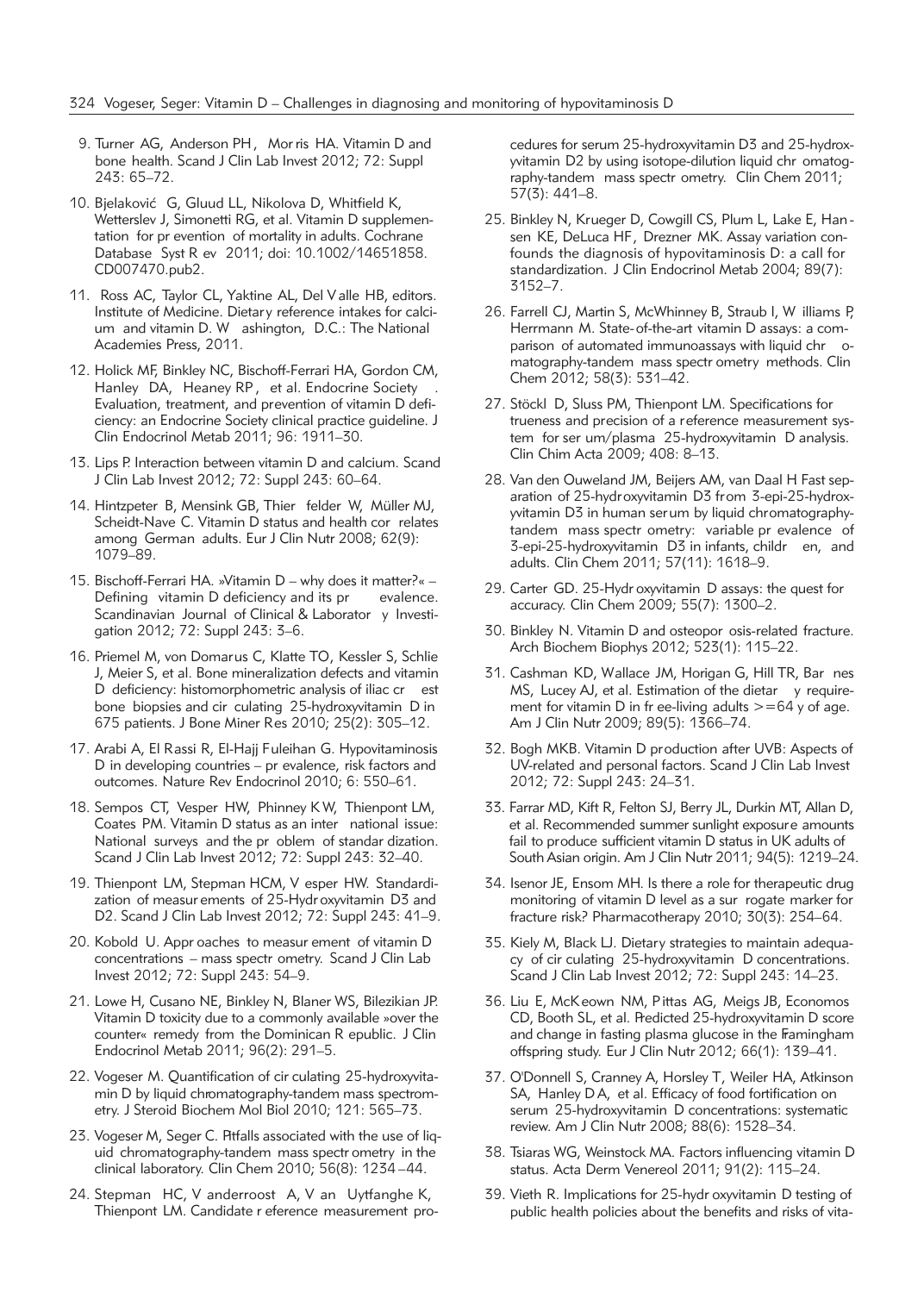- 9. Turner AG, Anderson PH, Mor ris HA. Vitamin D and bone health. Scand J Clin Lab Invest 2012; 72: Suppl 243: 65–72.
- 10. Bielaković G, Gluud LL, Nikolova D, Whitfield K, Wetterslev J, Simonetti RG, et al. Vitamin D supplementation for pr evention of mortality in adults. Cochrane Database Syst R ev 2011; doi: 10.1002/14651858. CD007470.pub2.
- 11. Ross AC, Taylor CL, Yaktine AL, Del Valle HB, editors. Institute of Medicine. Dietary reference intakes for calcium and vitamin D. W ashington, D.C.: The National Academies Press, 2011.
- 12. Holick MF, Binkley NC, Bischoff-Ferrari HA, Gordon CM, Hanley DA, Heaney RP, et al. Endocrine Society Evaluation, treatment, and prevention of vitamin D deficiency: an Endocrine Society clinical practice guideline. J Clin Endocrinol Metab 2011; 96: 1911–30.
- 13. Lips P. Interaction between vitamin D and calcium. Scand J Clin Lab Invest 2012; 72: Suppl 243: 60–64.
- 14. Hintzpeter B, Mensink GB, Thier felder W, Müller MJ, Scheidt-Nave C. Vitamin D status and health cor relates among German adults. Eur J Clin Nutr 2008; 62(9): 1079–89.
- 15. Bischoff-Ferrari HA. »Vitamin D why does it matter?« Defining vitamin D deficiency and its pr evalence. Scandinavian Journal of Clinical & Laborator y Investigation 2012; 72: Suppl 243: 3–6.
- 16. Priemel M, von Domarus C, Klatte TO, Kessler S, Schlie J, Meier S, et al. Bone mineralization defects and vitamin D deficiency: histomorphometric analysis of iliac cr est bone biopsies and cir culating 25-hydroxyvitamin D in 675 patients. J Bone Miner Res 2010; 25(2): 305–12.
- 17. Arabi A, El Rassi R, El-Hajj Fuleihan G. Hypovitaminosis D in developing countries – pr evalence, risk factors and outcomes. Nature Rev Endocrinol 2010; 6: 550–61.
- 18. Sempos CT, Vesper HW, Phinney K W, Thienpont LM, Coates PM. Vitamin D status as an inter national issue: National surveys and the pr oblem of standar dization. Scand J Clin Lab Invest 2012; 72: Suppl 243: 32–40.
- 19. Thienpont LM, Stepman HCM, V esper HW. Standardization of measur ements of 25-Hydr oxyvitamin D3 and D2. Scand J Clin Lab Invest 2012; 72: Suppl 243: 41–9.
- 20. Kobold U. Appr oaches to measur ement of vitamin D concentrations – mass spectr ometry. Scand J Clin Lab Invest 2012; 72: Suppl 243: 54–9.
- 21. Lowe H, Cusano NE, Binkley N, Blaner WS, Bilezikian JP. Vitamin D toxicity due to a commonly available »over the counter« remedy from the Dominican R epublic. J Clin Endocrinol Metab 2011; 96(2): 291–5.
- 22. Vogeser M. Quantification of cir culating 25-hydroxyvitamin D by liquid chromatography-tandem mass spectrometry. J Steroid Biochem Mol Biol 2010; 121: 565–73.
- 23. Vogeser M, Seger C. Pitfalls associated with the use of liquid chromatography-tandem mass spectr ometry in the clinical laboratory. Clin Chem 2010; 56(8): 1234 –44.
- 24. Stepman HC, V anderroost A, V an Uytfanghe K, Thienpont LM. Candidate r eference measurement pro-

cedures for serum 25-hydroxyvitamin D3 and 25-hydroxyvitamin D2 by using isotope-dilution liquid chr omatography-tandem mass spectr ometry. Clin Chem 2011; 57(3): 441–8.

- 25. Binkley N, Krueger D, Cowgill CS, Plum L, Lake E, Han sen KE, DeLuca HF, Drezner MK. Assay variation confounds the diagnosis of hypovitaminosis D: a call for standardization. J Clin Endocrinol Metab 2004; 89(7): 3152–7.
- 26. Farrell CJ, Martin S, McWhinney B, Straub I, W illiams P, Herrmann M. State-of-the-art vitamin D assays: a comparison of automated immunoassays with liquid chr omatography-tandem mass spectr ometry methods. Clin Chem 2012; 58(3): 531–42.
- 27. Stöckl D, Sluss PM, Thienpont LM. Specifications for trueness and precision of a reference measurement system for ser um/plasma 25-hydroxyvitamin D analysis. Clin Chim Acta 2009; 408: 8–13.
- 28. Van den Ouweland JM, Beijers AM, van Daal H. Fast separation of 25-hydroxyvitamin D3 from 3-epi-25-hydroxyvitamin D3 in human serum by liquid chromatographytandem mass spectr ometry: variable pr evalence of 3-epi-25-hydroxyvitamin D3 in infants, childr en, and adults. Clin Chem 2011; 57(11): 1618–9.
- 29. Carter GD. 25-Hydr oxyvitamin D assays: the quest for accuracy. Clin Chem 2009; 55(7): 1300–2.
- 30. Binkley N. Vitamin D and osteopor osis-related fracture. Arch Biochem Biophys 2012; 523(1): 115–22.
- 31. Cashman KD, Wallace JM, Horigan G, Hill TR, Bar nes MS, Lucey AJ, et al. Estimation of the dietar y requirement for vitamin D in fr ee-living adults  $>=64$  y of age. Am J Clin Nutr 2009; 89(5): 1366–74.
- 32. Bogh MKB. Vitamin D production after UVB: Aspects of UV-related and personal factors. Scand J Clin Lab Invest 2012; 72: Suppl 243: 24–31.
- 33. Farrar MD, Kift R, Felton SJ, Berry JL, Durkin MT, Allan D, et al. Recommended summer sunlight exposure amounts fail to produce sufficient vitamin D status in UK adults of South Asian origin. Am J Clin Nutr 2011; 94(5): 1219–24.
- 34. Isenor JE, Ensom MH. Is there a role for therapeutic drug monitoring of vitamin D level as a sur rogate marker for fracture risk? Pharmacotherapy 2010; 30(3): 254–64.
- 35. Kiely M, Black LJ. Dietary strategies to maintain adequacy of cir culating 25-hydroxyvitamin D concentrations. Scand J Clin Lab Invest 2012; 72: Suppl 243: 14–23.
- 36. Liu E, McKeown NM, Pittas AG, Meigs JB, Economos CD, Booth SL, et al. Predicted 25-hydroxyvitamin D score and change in fasting plasma glucose in the Framingham offspring study. Eur J Clin Nutr 2012; 66(1): 139–41.
- 37. O'Donnell S, Cranney A, Horsley T, Weiler HA, Atkinson SA, Hanley D A, et al. Efficacy of food fortification on serum 25-hydroxyvitamin D concentrations: systematic review. Am J Clin Nutr 2008; 88(6): 1528–34.
- 38. Tsiaras WG, Weinstock MA. Factors influencing vitamin D status. Acta Derm Venereol 2011; 91(2): 115–24.
- 39. Vieth R. Implications for 25-hydr oxyvitamin D testing of public health policies about the benefits and risks of vita-